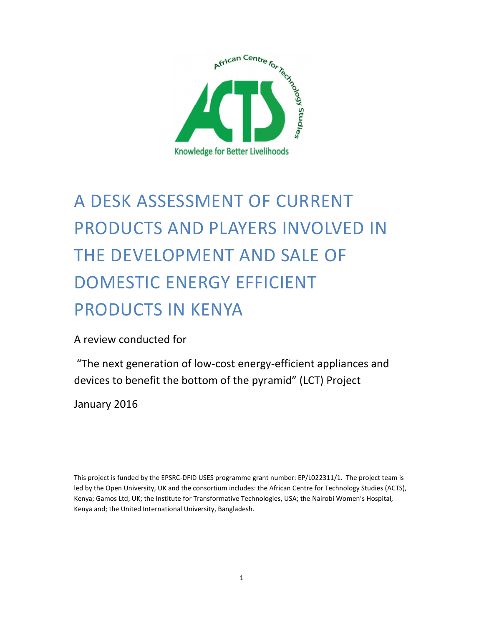

# A DESK ASSESSMENT OF CURRENT PRODUCTS AND PLAYERS INVOLVED IN THE DEVELOPMENT AND SALE OF DOMESTIC ENERGY EFFICIENT PRODUCTS IN KENYA

A review conducted for

 "The next generation of low-cost energy-efficient appliances and devices to benefit the bottom of the pyramid" (LCT) Project

January 2016

This project is funded by the EPSRC-DFID USES programme grant number: EP/L022311/1. The project team is led by the Open University, UK and the consortium includes: the African Centre for Technology Studies (ACTS), Kenya; Gamos Ltd, UK; the Institute for Transformative Technologies, USA; the Nairobi Women's Hospital, Kenya and; the United International University, Bangladesh.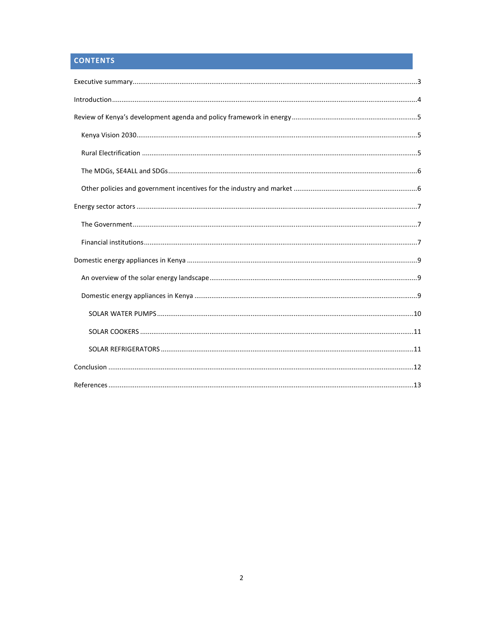# **CONTENTS**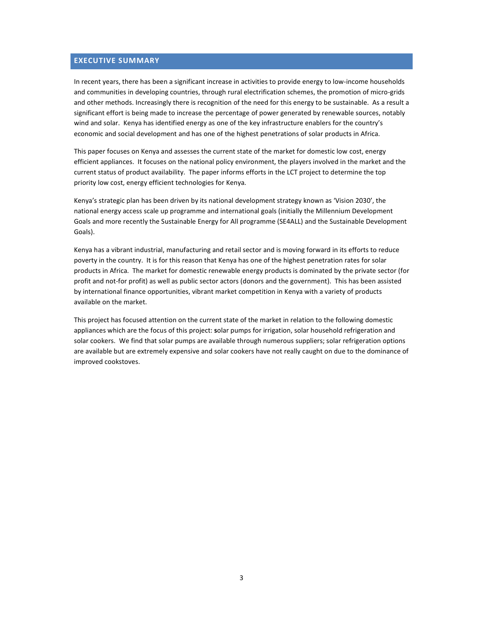#### **EXECUTIVE SUMMARY**

In recent years, there has been a significant increase in activities to provide energy to low-income households and communities in developing countries, through rural electrification schemes, the promotion of micro-grids and other methods. Increasingly there is recognition of the need for this energy to be sustainable. As a result a significant effort is being made to increase the percentage of power generated by renewable sources, notably wind and solar. Kenya has identified energy as one of the key infrastructure enablers for the country's economic and social development and has one of the highest penetrations of solar products in Africa.

This paper focuses on Kenya and assesses the current state of the market for domestic low cost, energy efficient appliances. It focuses on the national policy environment, the players involved in the market and the current status of product availability. The paper informs efforts in the LCT project to determine the top priority low cost, energy efficient technologies for Kenya.

Kenya's strategic plan has been driven by its national development strategy known as 'Vision 2030', the national energy access scale up programme and international goals (initially the Millennium Development Goals and more recently the Sustainable Energy for All programme (SE4ALL) and the Sustainable Development Goals).

Kenya has a vibrant industrial, manufacturing and retail sector and is moving forward in its efforts to reduce poverty in the country. It is for this reason that Kenya has one of the highest penetration rates for solar products in Africa. The market for domestic renewable energy products is dominated by the private sector (for profit and not-for profit) as well as public sector actors (donors and the government). This has been assisted by international finance opportunities, vibrant market competition in Kenya with a variety of products available on the market.

This project has focused attention on the current state of the market in relation to the following domestic appliances which are the focus of this project: **s**olar pumps for irrigation, solar household refrigeration and solar cookers. We find that solar pumps are available through numerous suppliers; solar refrigeration options are available but are extremely expensive and solar cookers have not really caught on due to the dominance of improved cookstoves.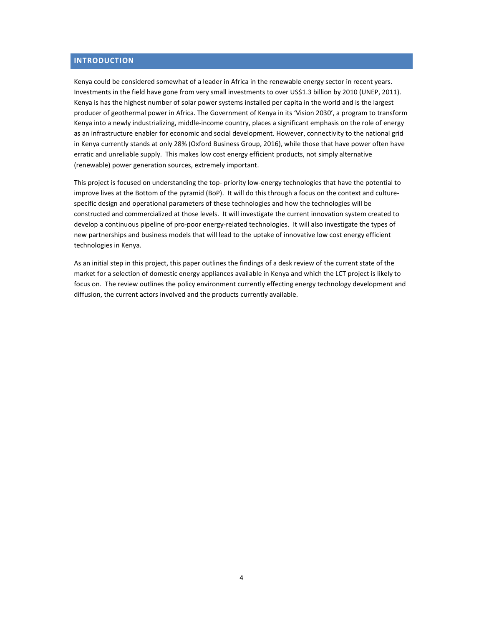#### **INTRODUCTION**

Kenya could be considered somewhat of a leader in Africa in the renewable energy sector in recent years. Investments in the field have gone from very small investments to over US\$1.3 billion by 2010 (UNEP, 2011). Kenya is has the highest number of solar power systems installed per capita in the world and is the largest producer of geothermal power in Africa. The Government of Kenya in its 'Vision 2030', a program to transform Kenya into a newly industrializing, middle-income country, places a significant emphasis on the role of energy as an infrastructure enabler for economic and social development. However, connectivity to the national grid in Kenya currently stands at only 28% (Oxford Business Group, 2016), while those that have power often have erratic and unreliable supply. This makes low cost energy efficient products, not simply alternative (renewable) power generation sources, extremely important.

This project is focused on understanding the top- priority low-energy technologies that have the potential to improve lives at the Bottom of the pyramid (BoP). It will do this through a focus on the context and culturespecific design and operational parameters of these technologies and how the technologies will be constructed and commercialized at those levels. It will investigate the current innovation system created to develop a continuous pipeline of pro-poor energy-related technologies. It will also investigate the types of new partnerships and business models that will lead to the uptake of innovative low cost energy efficient technologies in Kenya.

As an initial step in this project, this paper outlines the findings of a desk review of the current state of the market for a selection of domestic energy appliances available in Kenya and which the LCT project is likely to focus on. The review outlines the policy environment currently effecting energy technology development and diffusion, the current actors involved and the products currently available.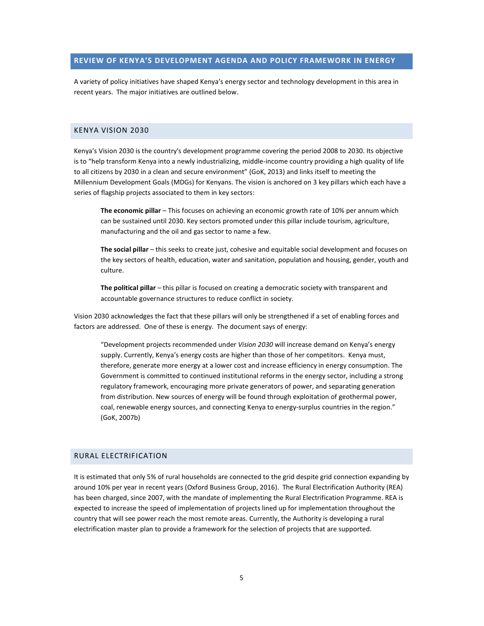#### **REVIEW OF KENYA'S DEVELOPMENT AGENDA AND POLICY FRAMEWORK IN ENERGY**

A variety of policy initiatives have shaped Kenya's energy sector and technology development in this area in recent years. The major initiatives are outlined below.

#### KENYA VISION 2030

Kenya's Vision 2030 is the country's development programme covering the period 2008 to 2030. Its objective is to "help transform Kenya into a newly industrializing, middle-income country providing a high quality of life to all citizens by 2030 in a clean and secure environment" (GoK, 2013) and links itself to meeting the Millennium Development Goals (MDGs) for Kenyans. The vision is anchored on 3 key pillars which each have a series of flagship projects associated to them in key sectors:

**The economic pillar** – This focuses on achieving an economic growth rate of 10% per annum which can be sustained until 2030. Key sectors promoted under this pillar include tourism, agriculture, manufacturing and the oil and gas sector to name a few.

**The social pillar** – this seeks to create just, cohesive and equitable social development and focuses on the key sectors of health, education, water and sanitation, population and housing, gender, youth and culture.

**The political pillar** – this pillar is focused on creating a democratic society with transparent and accountable governance structures to reduce conflict in society.

Vision 2030 acknowledges the fact that these pillars will only be strengthened if a set of enabling forces and factors are addressed. One of these is energy. The document says of energy:

"Development projects recommended under *Vision 2030* will increase demand on Kenya's energy supply. Currently, Kenya's energy costs are higher than those of her competitors. Kenya must, therefore, generate more energy at a lower cost and increase efficiency in energy consumption. The Government is committed to continued institutional reforms in the energy sector, including a strong regulatory framework, encouraging more private generators of power, and separating generation from distribution. New sources of energy will be found through exploitation of geothermal power, coal, renewable energy sources, and connecting Kenya to energy-surplus countries in the region." (GoK, 2007b)

#### RURAL ELECTRIFICATION

It is estimated that only 5% of rural households are connected to the grid despite grid connection expanding by around 10% per year in recent years (Oxford Business Group, 2016). The Rural Electrification Authority (REA) has been charged, since 2007, with the mandate of implementing the Rural Electrification Programme. REA is expected to increase the speed of implementation of projects lined up for implementation throughout the country that will see power reach the most remote areas. Currently, the Authority is developing a rural electrification master plan to provide a framework for the selection of projects that are supported.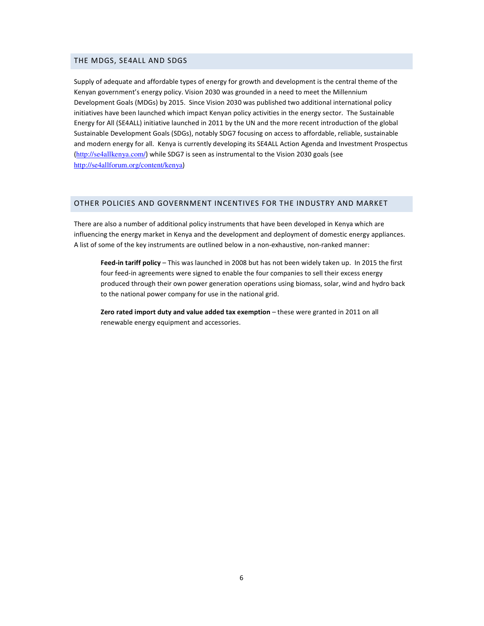#### THE MDGS, SE4ALL AND SDGS

Supply of adequate and affordable types of energy for growth and development is the central theme of the Kenyan government's energy policy. Vision 2030 was grounded in a need to meet the Millennium Development Goals (MDGs) by 2015. Since Vision 2030 was published two additional international policy initiatives have been launched which impact Kenyan policy activities in the energy sector. The Sustainable Energy for All (SE4ALL) initiative launched in 2011 by the UN and the more recent introduction of the global Sustainable Development Goals (SDGs), notably SDG7 focusing on access to affordable, reliable, sustainable and modern energy for all. Kenya is currently developing its SE4ALL Action Agenda and Investment Prospectus (http://se4allkenya.com/) while SDG7 is seen as instrumental to the Vision 2030 goals (see http://se4allforum.org/content/kenya)

#### OTHER POLICIES AND GOVERNMENT INCENTIVES FOR THE INDUSTRY AND MARKET

There are also a number of additional policy instruments that have been developed in Kenya which are influencing the energy market in Kenya and the development and deployment of domestic energy appliances. A list of some of the key instruments are outlined below in a non-exhaustive, non-ranked manner:

**Feed-in tariff policy** – This was launched in 2008 but has not been widely taken up. In 2015 the first four feed-in agreements were signed to enable the four companies to sell their excess energy produced through their own power generation operations using biomass, solar, wind and hydro back to the national power company for use in the national grid.

**Zero rated import duty and value added tax exemption** – these were granted in 2011 on all renewable energy equipment and accessories.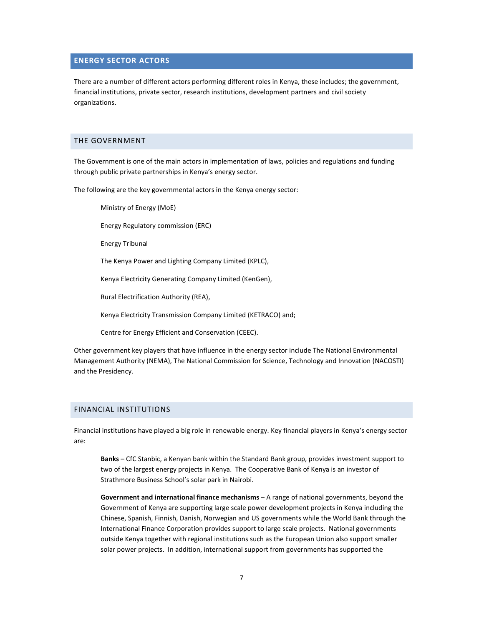#### **ENERGY SECTOR ACTORS**

There are a number of different actors performing different roles in Kenya, these includes; the government, financial institutions, private sector, research institutions, development partners and civil society organizations.

#### THE GOVERNMENT

The Government is one of the main actors in implementation of laws, policies and regulations and funding through public private partnerships in Kenya's energy sector.

The following are the key governmental actors in the Kenya energy sector:

Ministry of Energy (MoE)

Energy Regulatory commission (ERC)

Energy Tribunal

The Kenya Power and Lighting Company Limited (KPLC),

Kenya Electricity Generating Company Limited (KenGen),

Rural Electrification Authority (REA),

Kenya Electricity Transmission Company Limited (KETRACO) and;

Centre for Energy Efficient and Conservation (CEEC).

Other government key players that have influence in the energy sector include The National Environmental Management Authority (NEMA), The National Commission for Science, Technology and Innovation (NACOSTI) and the Presidency.

#### FINANCIAL INSTITUTIONS

Financial institutions have played a big role in renewable energy. Key financial players in Kenya's energy sector are:

**Banks** – CfC Stanbic, a Kenyan bank within the Standard Bank group, provides investment support to two of the largest energy projects in Kenya. The Cooperative Bank of Kenya is an investor of Strathmore Business School's solar park in Nairobi.

**Government and international finance mechanisms** – A range of national governments, beyond the Government of Kenya are supporting large scale power development projects in Kenya including the Chinese, Spanish, Finnish, Danish, Norwegian and US governments while the World Bank through the International Finance Corporation provides support to large scale projects. National governments outside Kenya together with regional institutions such as the European Union also support smaller solar power projects. In addition, international support from governments has supported the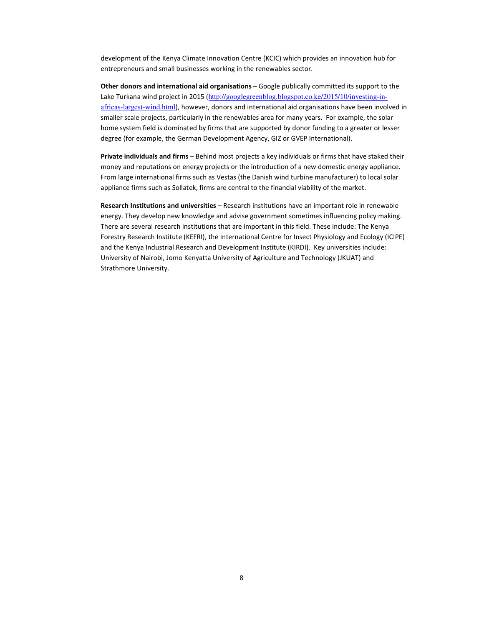development of the Kenya Climate Innovation Centre (KCIC) which provides an innovation hub for entrepreneurs and small businesses working in the renewables sector.

**Other donors and international aid organisations** – Google publically committed its support to the Lake Turkana wind project in 2015 (http://googlegreenblog.blogspot.co.ke/2015/10/investing-inafricas-largest-wind.html), however, donors and international aid organisations have been involved in smaller scale projects, particularly in the renewables area for many years. For example, the solar home system field is dominated by firms that are supported by donor funding to a greater or lesser degree (for example, the German Development Agency, GIZ or GVEP International).

**Private individuals and firms** – Behind most projects a key individuals or firms that have staked their money and reputations on energy projects or the introduction of a new domestic energy appliance. From large international firms such as Vestas (the Danish wind turbine manufacturer) to local solar appliance firms such as Sollatek, firms are central to the financial viability of the market.

**Research Institutions and universities** – Research institutions have an important role in renewable energy. They develop new knowledge and advise government sometimes influencing policy making. There are several research institutions that are important in this field. These include: The Kenya Forestry Research Institute (KEFRI), the International Centre for Insect Physiology and Ecology (ICIPE) and the Kenya Industrial Research and Development Institute (KIRDI). Key universities include: University of Nairobi, Jomo Kenyatta University of Agriculture and Technology (JKUAT) and Strathmore University.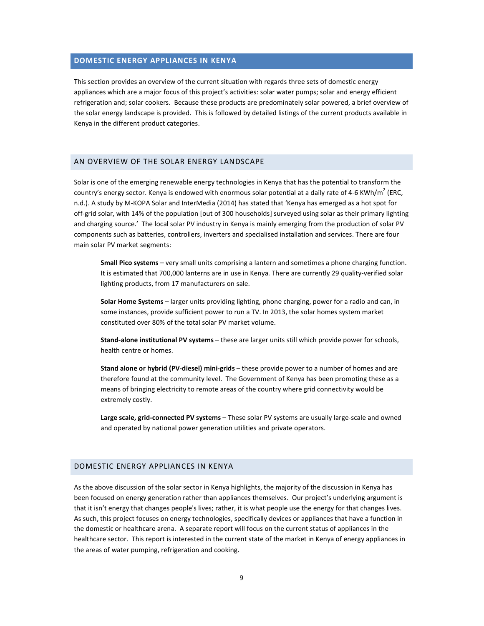#### **DOMESTIC ENERGY APPLIANCES IN KENYA**

This section provides an overview of the current situation with regards three sets of domestic energy appliances which are a major focus of this project's activities: solar water pumps; solar and energy efficient refrigeration and; solar cookers. Because these products are predominately solar powered, a brief overview of the solar energy landscape is provided. This is followed by detailed listings of the current products available in Kenya in the different product categories.

#### AN OVERVIEW OF THE SOLAR ENERGY LANDSCAPE

Solar is one of the emerging renewable energy technologies in Kenya that has the potential to transform the country's energy sector. Kenya is endowed with enormous solar potential at a daily rate of 4-6 KWh/m<sup>2</sup> (ERC, n.d.). A study by M-KOPA Solar and InterMedia (2014) has stated that 'Kenya has emerged as a hot spot for off-grid solar, with 14% of the population [out of 300 households] surveyed using solar as their primary lighting and charging source.' The local solar PV industry in Kenya is mainly emerging from the production of solar PV components such as batteries, controllers, inverters and specialised installation and services. There are four main solar PV market segments:

**Small Pico systems** – very small units comprising a lantern and sometimes a phone charging function. It is estimated that 700,000 lanterns are in use in Kenya. There are currently 29 quality-verified solar lighting products, from 17 manufacturers on sale.

**Solar Home Systems** – larger units providing lighting, phone charging, power for a radio and can, in some instances, provide sufficient power to run a TV. In 2013, the solar homes system market constituted over 80% of the total solar PV market volume.

**Stand-alone institutional PV systems** – these are larger units still which provide power for schools, health centre or homes.

**Stand alone or hybrid (PV-diesel) mini-grids** – these provide power to a number of homes and are therefore found at the community level. The Government of Kenya has been promoting these as a means of bringing electricity to remote areas of the country where grid connectivity would be extremely costly.

**Large scale, grid-connected PV systems** – These solar PV systems are usually large-scale and owned and operated by national power generation utilities and private operators.

#### DOMESTIC ENERGY APPLIANCES IN KENYA

As the above discussion of the solar sector in Kenya highlights, the majority of the discussion in Kenya has been focused on energy generation rather than appliances themselves. Our project's underlying argument is that it isn't energy that changes people's lives; rather, it is what people use the energy for that changes lives. As such, this project focuses on energy technologies, specifically devices or appliances that have a function in the domestic or healthcare arena. A separate report will focus on the current status of appliances in the healthcare sector. This report is interested in the current state of the market in Kenya of energy appliances in the areas of water pumping, refrigeration and cooking.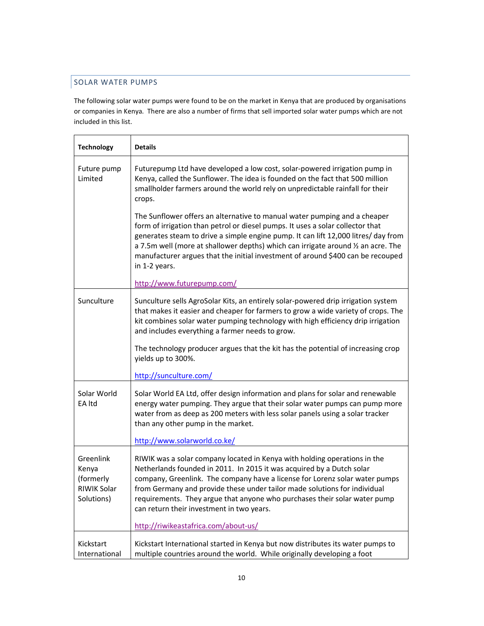### SOLAR WATER PUMPS

The following solar water pumps were found to be on the market in Kenya that are produced by organisations or companies in Kenya. There are also a number of firms that sell imported solar water pumps which are not included in this list.

| <b>Technology</b>                                            | <b>Details</b>                                                                                                                                                                                                                                                                                                                                                                                                                             |
|--------------------------------------------------------------|--------------------------------------------------------------------------------------------------------------------------------------------------------------------------------------------------------------------------------------------------------------------------------------------------------------------------------------------------------------------------------------------------------------------------------------------|
| Future pump<br>Limited                                       | Futurepump Ltd have developed a low cost, solar-powered irrigation pump in<br>Kenya, called the Sunflower. The idea is founded on the fact that 500 million<br>smallholder farmers around the world rely on unpredictable rainfall for their<br>crops.                                                                                                                                                                                     |
|                                                              | The Sunflower offers an alternative to manual water pumping and a cheaper<br>form of irrigation than petrol or diesel pumps. It uses a solar collector that<br>generates steam to drive a simple engine pump. It can lift 12,000 litres/ day from<br>a 7.5m well (more at shallower depths) which can irrigate around 1/2 an acre. The<br>manufacturer argues that the initial investment of around \$400 can be recouped<br>in 1-2 years. |
|                                                              | http://www.futurepump.com/                                                                                                                                                                                                                                                                                                                                                                                                                 |
| Sunculture                                                   | Sunculture sells AgroSolar Kits, an entirely solar-powered drip irrigation system<br>that makes it easier and cheaper for farmers to grow a wide variety of crops. The<br>kit combines solar water pumping technology with high efficiency drip irrigation<br>and includes everything a farmer needs to grow.                                                                                                                              |
|                                                              | The technology producer argues that the kit has the potential of increasing crop<br>yields up to 300%.                                                                                                                                                                                                                                                                                                                                     |
|                                                              | http://sunculture.com/                                                                                                                                                                                                                                                                                                                                                                                                                     |
| Solar World<br>EA Itd                                        | Solar World EA Ltd, offer design information and plans for solar and renewable<br>energy water pumping. They argue that their solar water pumps can pump more<br>water from as deep as 200 meters with less solar panels using a solar tracker<br>than any other pump in the market.<br>http://www.solarworld.co.ke/                                                                                                                       |
|                                                              |                                                                                                                                                                                                                                                                                                                                                                                                                                            |
| Greenlink<br>Kenya<br>(formerly<br>RIWIK Solar<br>Solutions) | RIWIK was a solar company located in Kenya with holding operations in the<br>Netherlands founded in 2011. In 2015 it was acquired by a Dutch solar<br>company, Greenlink. The company have a license for Lorenz solar water pumps<br>from Germany and provide these under tailor made solutions for individual<br>requirements. They argue that anyone who purchases their solar water pump<br>can return their investment in two years.   |
|                                                              | http://riwikeastafrica.com/about-us/                                                                                                                                                                                                                                                                                                                                                                                                       |
| Kickstart<br>International                                   | Kickstart International started in Kenya but now distributes its water pumps to<br>multiple countries around the world. While originally developing a foot                                                                                                                                                                                                                                                                                 |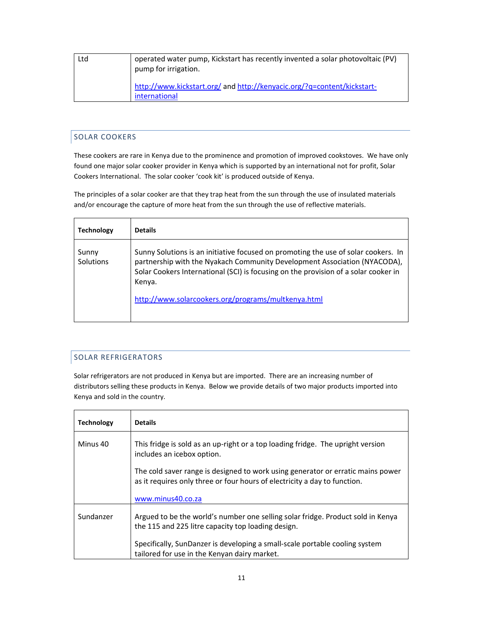| Ltd | operated water pump, Kickstart has recently invented a solar photovoltaic (PV)<br>pump for irrigation. |
|-----|--------------------------------------------------------------------------------------------------------|
|     | http://www.kickstart.org/ and http://kenyacic.org/?q=content/kickstart-<br>international               |

# SOLAR COOKERS

These cookers are rare in Kenya due to the prominence and promotion of improved cookstoves. We have only found one major solar cooker provider in Kenya which is supported by an international not for profit, Solar Cookers International. The solar cooker 'cook kit' is produced outside of Kenya.

The principles of a solar cooker are that they trap heat from the sun through the use of insulated materials and/or encourage the capture of more heat from the sun through the use of reflective materials.

| <b>Technology</b>  | <b>Details</b>                                                                                                                                                                                                                                                                                                          |
|--------------------|-------------------------------------------------------------------------------------------------------------------------------------------------------------------------------------------------------------------------------------------------------------------------------------------------------------------------|
| Sunny<br>Solutions | Sunny Solutions is an initiative focused on promoting the use of solar cookers. In<br>partnership with the Nyakach Community Development Association (NYACODA),<br>Solar Cookers International (SCI) is focusing on the provision of a solar cooker in<br>Kenya.<br>http://www.solarcookers.org/programs/multkenya.html |

#### SOLAR REFRIGERATORS

Solar refrigerators are not produced in Kenya but are imported. There are an increasing number of distributors selling these products in Kenya. Below we provide details of two major products imported into Kenya and sold in the country.

| <b>Technology</b> | <b>Details</b>                                                                                                                                               |
|-------------------|--------------------------------------------------------------------------------------------------------------------------------------------------------------|
| Minus 40          | This fridge is sold as an up-right or a top loading fridge. The upright version<br>includes an icebox option.                                                |
|                   | The cold saver range is designed to work using generator or erratic mains power<br>as it requires only three or four hours of electricity a day to function. |
|                   | www.minus40.co.za                                                                                                                                            |
| Sundanzer         | Argued to be the world's number one selling solar fridge. Product sold in Kenya<br>the 115 and 225 litre capacity top loading design.                        |
|                   | Specifically, SunDanzer is developing a small-scale portable cooling system<br>tailored for use in the Kenyan dairy market.                                  |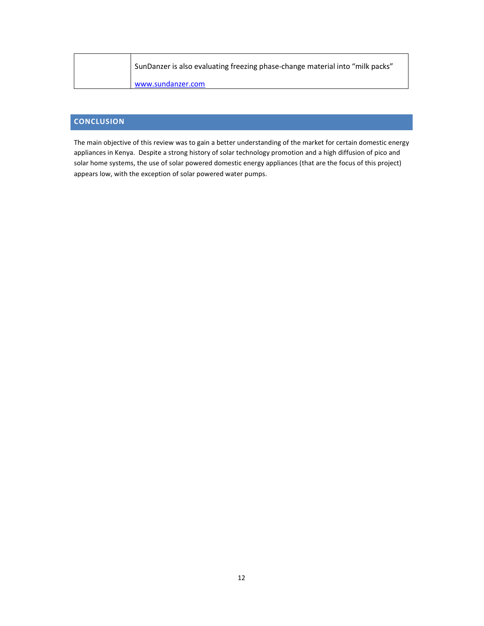| SunDanzer is also evaluating freezing phase-change material into "milk packs" |
|-------------------------------------------------------------------------------|
| www.sundanzer.com                                                             |

## **CONCLUSION**

The main objective of this review was to gain a better understanding of the market for certain domestic energy appliances in Kenya. Despite a strong history of solar technology promotion and a high diffusion of pico and solar home systems, the use of solar powered domestic energy appliances (that are the focus of this project) appears low, with the exception of solar powered water pumps.